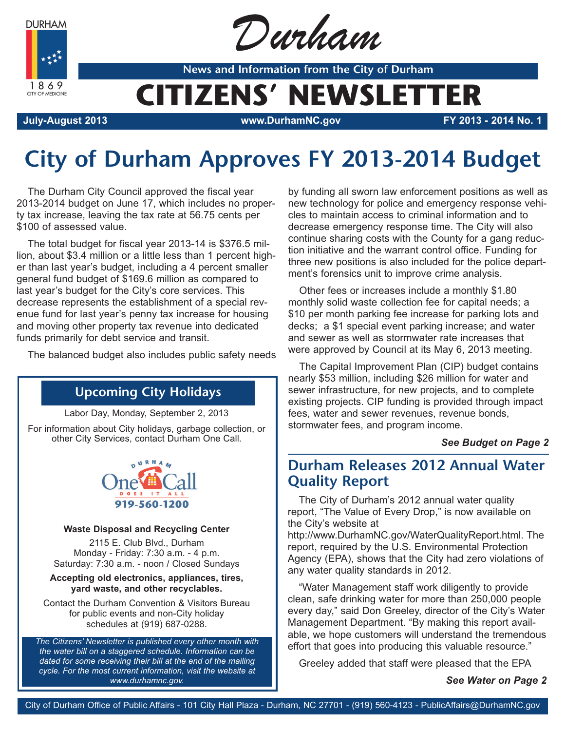**DURHAM** 

1869 CITY OF MEDICINE



**News and Information from the City of Durham**

# **CITIZENS' NEWSLETTER**

**July-August 2013 www.DurhamNC.gov FY 2013 - 2014 No. 1**

## **City of Durham Approves FY 2013-2014 Budget**

The Durham City Council approved the fiscal year 2013-2014 budget on June 17, which includes no property tax increase, leaving the tax rate at 56.75 cents per \$100 of assessed value.

The total budget for fiscal year 2013-14 is \$376.5 million, about \$3.4 million or a little less than 1 percent higher than last year's budget, including a 4 percent smaller general fund budget of \$169.6 million as compared to last year's budget for the City's core services. This decrease represents the establishment of a special revenue fund for last year's penny tax increase for housing and moving other property tax revenue into dedicated funds primarily for debt service and transit.

The balanced budget also includes public safety needs

### **Upcoming City Holidays**

Labor Day, Monday, September 2, 2013

For information about City holidays, garbage collection, or other City Services, contact Durham One Call.



#### **Waste Disposal and Recycling Center**

2115 E. Club Blvd., Durham Monday - Friday: 7:30 a.m. - 4 p.m. Saturday: 7:30 a.m. - noon / Closed Sundays

#### **Accepting old electronics, appliances, tires, yard waste, and other recyclables.**

Contact the Durham Convention & Visitors Bureau for public events and non-City holiday schedules at (919) 687-0288.

*The Citizens' Newsletter is published every other month with the water bill on a staggered schedule. Information can be dated for some receiving their bill at the end of the mailing cycle. For the most current information, visit the website at www.durhamnc.gov.*

by funding all sworn law enforcement positions as well as new technology for police and emergency response vehicles to maintain access to criminal information and to decrease emergency response time. The City will also continue sharing costs with the County for a gang reduction initiative and the warrant control office. Funding for three new positions is also included for the police department's forensics unit to improve crime analysis.

Other fees or increases include a monthly \$1.80 monthly solid waste collection fee for capital needs; a \$10 per month parking fee increase for parking lots and decks; a \$1 special event parking increase; and water and sewer as well as stormwater rate increases that were approved by Council at its May 6, 2013 meeting.

The Capital Improvement Plan (CIP) budget contains nearly \$53 million, including \$26 million for water and sewer infrastructure, for new projects, and to complete existing projects. CIP funding is provided through impact fees, water and sewer revenues, revenue bonds, stormwater fees, and program income.

#### *See Budget on Page 2*

### **Durham Releases 2012 Annual Water Quality Report**

The City of Durham's 2012 annual water quality report, "The Value of Every Drop," is now available on the City's website at

http://www.DurhamNC.gov/WaterQualityReport.html. The report, required by the U.S. Environmental Protection Agency (EPA), shows that the City had zero violations of any water quality standards in 2012.

"Water Management staff work diligently to provide clean, safe drinking water for more than 250,000 people every day," said Don Greeley, director of the City's Water Management Department. "By making this report available, we hope customers will understand the tremendous effort that goes into producing this valuable resource."

Greeley added that staff were pleased that the EPA

*See Water on Page 2*